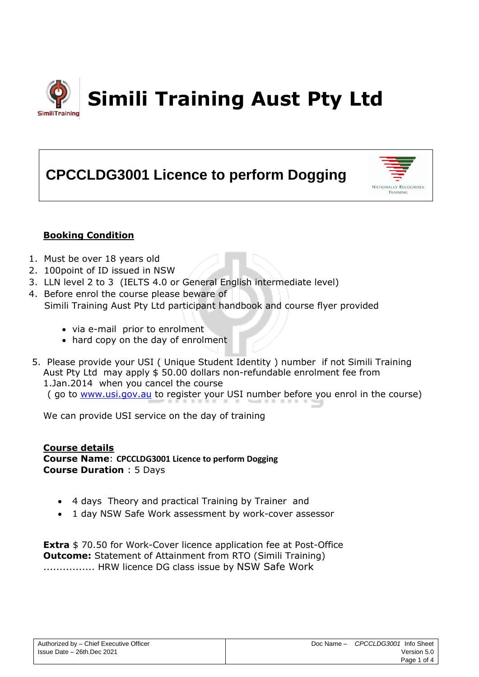

# **CPCCLDG3001 Licence to perform Dogging**



# **Booking Condition**

- 1. Must be over 18 years old
- 2. 100point of ID issued in NSW
- 3. LLN level 2 to 3 (IELTS 4.0 or General English intermediate level)
- 4. Before enrol the course please beware of Simili Training Aust Pty Ltd participant handbook and course flyer provided
	- via e-mail prior to enrolment
	- hard copy on the day of enrolment
- 5. Please provide your USI ( Unique Student Identity ) number if not Simili Training Aust Pty Ltd may apply \$ 50.00 dollars non-refundable enrolment fee from 1.Jan.2014 when you cancel the course ( go to [www.usi.gov.au](http://www.usi.gov.au/) to register your USI number before you enrol in the course)

We can provide USI service on the day of training

## **Course details**

**Course Name**: **CPCCLDG3001 Licence to perform Dogging Course Duration** : 5 Days

- 4 days Theory and practical Training by Trainer and
- 1 day NSW Safe Work assessment by work-cover assessor

**Extra** \$70.50 for Work-Cover licence application fee at Post-Office **Outcome:** Statement of Attainment from RTO (Simili Training) ................ HRW licence DG class issue by NSW Safe Work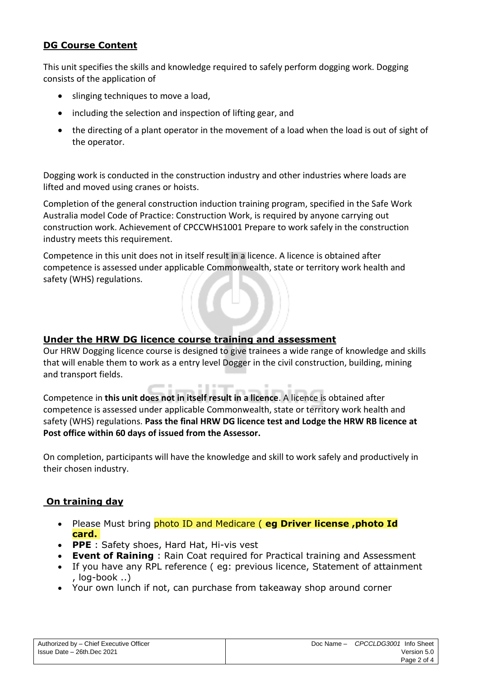# **DG Course Content**

This unit specifies the skills and knowledge required to safely perform dogging work. Dogging consists of the application of

- slinging techniques to move a load,
- including the selection and inspection of lifting gear, and
- the directing of a plant operator in the movement of a load when the load is out of sight of the operator.

Dogging work is conducted in the construction industry and other industries where loads are lifted and moved using cranes or hoists.

Completion of the general construction induction training program, specified in the Safe Work Australia model Code of Practice: Construction Work, is required by anyone carrying out construction work. Achievement of CPCCWHS1001 Prepare to work safely in the construction industry meets this requirement.

Competence in this unit does not in itself result in a licence. A licence is obtained after competence is assessed under applicable Commonwealth, state or territory work health and safety (WHS) regulations.

## **Under the HRW DG licence course training and assessment**

Our HRW Dogging licence course is designed to give trainees a wide range of knowledge and skills that will enable them to work as a entry level Dogger in the civil construction, building, mining and transport fields.

Competence in **this unit does not in itself result in a licence**. A licence is obtained after competence is assessed under applicable Commonwealth, state or territory work health and safety (WHS) regulations. **Pass the final HRW DG licence test and Lodge the HRW RB licence at Post office within 60 days of issued from the Assessor.**

**CONTRACTOR** 

On completion, participants will have the knowledge and skill to work safely and productively in their chosen industry.

## **On training day**

- Please Must bring photo ID and Medicare ( **eg Driver license ,photo Id card.**
- **PPE** : Safety shoes, Hard Hat, Hi-vis vest
- **Event of Raining** : Rain Coat required for Practical training and Assessment
- If you have any RPL reference ( eg: previous licence, Statement of attainment , log-book ..)
- Your own lunch if not, can purchase from takeaway shop around corner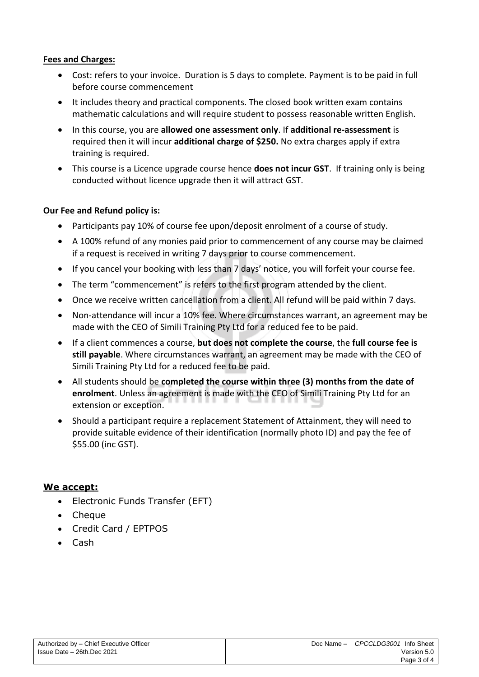## **Fees and Charges:**

- Cost: refers to your invoice. Duration is 5 days to complete. Payment is to be paid in full before course commencement
- It includes theory and practical components. The closed book written exam contains mathematic calculations and will require student to possess reasonable written English.
- In this course, you are **allowed one assessment only**. If **additional re-assessment** is required then it will incur **additional charge of \$250.** No extra charges apply if extra training is required.
- This course is a Licence upgrade course hence **does not incur GST**. If training only is being conducted without licence upgrade then it will attract GST.

## **Our Fee and Refund policy is:**

- Participants pay 10% of course fee upon/deposit enrolment of a course of study.
- A 100% refund of any monies paid prior to commencement of any course may be claimed if a request is received in writing 7 days prior to course commencement.
- If you cancel your booking with less than 7 days' notice, you will forfeit your course fee.
- The term "commencement" is refers to the first program attended by the client.
- Once we receive written cancellation from a client. All refund will be paid within 7 days.
- Non-attendance will incur a 10% fee. Where circumstances warrant, an agreement may be made with the CEO of Simili Training Pty Ltd for a reduced fee to be paid.
- If a client commences a course, **but does not complete the course**, the **full course fee is still payable**. Where circumstances warrant, an agreement may be made with the CEO of Simili Training Pty Ltd for a reduced fee to be paid.
- All students should be **completed the course within three (3) months from the date of enrolment**. Unless an agreement is made with the CEO of Simili Training Pty Ltd for an extension or exception.
- Should a participant require a replacement Statement of Attainment, they will need to provide suitable evidence of their identification (normally photo ID) and pay the fee of \$55.00 (inc GST).

## **We accept:**

- Electronic Funds Transfer (EFT)
- Cheque
- Credit Card / EPTPOS
- Cash